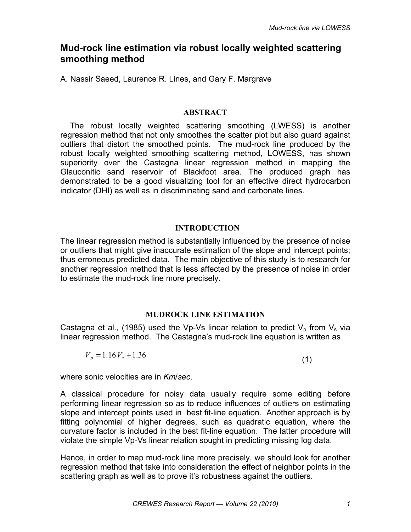# **Mud-rock line estimation via robust locally weighted scattering smoothing method**

A. Nassir Saeed, Laurence R. Lines, and Gary F. Margrave

## **ABSTRACT**

The robust locally weighted scattering smoothing (LWESS) is another regression method that not only smoothes the scatter plot but also guard against outliers that distort the smoothed points. The mud-rock line produced by the robust locally weighted smoothing scattering method, LOWESS, has shown superiority over the Castagna linear regression method in mapping the Glauconitic sand reservoir of Blackfoot area. The produced graph has demonstrated to be a good visualizing tool for an effective direct hydrocarbon indicator (DHI) as well as in discriminating sand and carbonate lines.

## **INTRODUCTION**

The linear regression method is substantially influenced by the presence of noise or outliers that might give inaccurate estimation of the slope and intercept points; thus erroneous predicted data. The main objective of this study is to research for another regression method that is less affected by the presence of noise in order to estimate the mud-rock line more precisely.

## **MUDROCK LINE ESTIMATION**

Castagna et al., (1985) used the Vp-Vs linear relation to predict  $V_p$  from  $V_s$  via linear regression method. The Castagna's mud-rock line equation is written as

$$
V_p = 1.16 V_s + 1.36 \tag{1}
$$

where sonic velocities are in *Km*/*sec*.

A classical procedure for noisy data usually require some editing before performing linear regression so as to reduce influences of outliers on estimating slope and intercept points used in best fit-line equation. Another approach is by fitting polynomial of higher degrees, such as quadratic equation, where the curvature factor is included in the best fit-line equation. The latter procedure will violate the simple Vp-Vs linear relation sought in predicting missing log data.

Hence, in order to map mud-rock line more precisely, we should look for another regression method that take into consideration the effect of neighbor points in the scattering graph as well as to prove it's robustness against the outliers.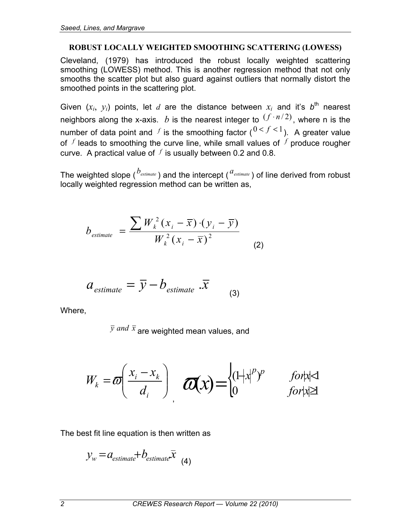#### **ROBUST LOCALLY WEIGHTED SMOOTHING SCATTERING (LOWESS)**

Cleveland, (1979) has introduced the robust locally weighted scattering smoothing (LOWESS) method. This is another regression method that not only smooths the scatter plot but also guard against outliers that normally distort the smoothed points in the scattering plot.

Given  $(x_i, y_i)$  points, let *d* are the distance between  $x_i$  and it's  $b^{\text{th}}$  nearest neighbors along the x-axis. *b* is the nearest integer to  $(f \cdot n/2)$ , where n is the number of data point and *f* is the smoothing factor  $(0 < f < 1)$ . A greater value of *<sup>f</sup>* leads to smoothing the curve line, while small values of *<sup>f</sup>* produce rougher curve. A practical value of  $f$  is usually between 0.2 and 0.8.

The weighted slope (<sup>*b*</sup>estimate</sup>) and the intercept (<sup>a</sup>estimate) of line derived from robust locally weighted regression method can be written as,

$$
b_{\text{estimate}} = \frac{\sum W_k^2 (x_i - \overline{x}) \cdot (y_i - \overline{y})}{W_k^2 (x_i - \overline{x})^2}
$$
 (2)

$$
a_{\text{estimate}} = \overline{y} - b_{\text{estimate}} \cdot \overline{x} \tag{3}
$$

Where,

*y and x* are weighted mean values, and

$$
W_k = \boldsymbol{\varpi} \left( \frac{x_i - x_k}{d_i} \right) \boldsymbol{\varpi} \left( \boldsymbol{\chi} \right) = \begin{cases} (1 + x)^p & \text{for } x \in \mathbb{R} \\ 0 & \text{for } x \in \mathbb{R} \end{cases}
$$

The best fit line equation is then written as

$$
y_w = a_{\text{estimate}} + b_{\text{estimate}} \bar{x}
$$
 (4)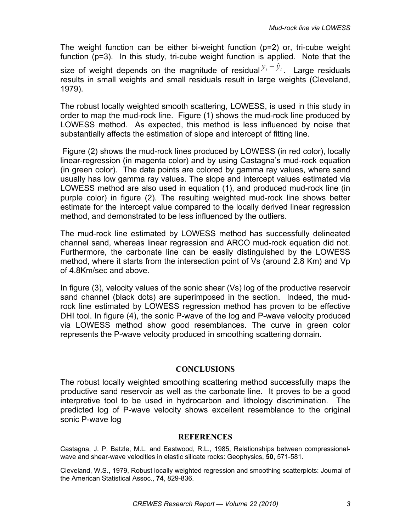The weight function can be either bi-weight function (p=2) or, tri-cube weight function (p=3). In this study, tri-cube weight function is applied. Note that the size of weight depends on the magnitude of residual  $y_i - \hat{y}_i$ . Large residuals results in small weights and small residuals result in large weights (Cleveland, 1979).

The robust locally weighted smooth scattering, LOWESS, is used in this study in order to map the mud-rock line. Figure (1) shows the mud-rock line produced by LOWESS method. As expected, this method is less influenced by noise that substantially affects the estimation of slope and intercept of fitting line.

 Figure (2) shows the mud-rock lines produced by LOWESS (in red color), locally linear-regression (in magenta color) and by using Castagna's mud-rock equation (in green color). The data points are colored by gamma ray values, where sand usually has low gamma ray values. The slope and intercept values estimated via LOWESS method are also used in equation (1), and produced mud-rock line (in purple color) in figure (2). The resulting weighted mud-rock line shows better estimate for the intercept value compared to the locally derived linear regression method, and demonstrated to be less influenced by the outliers.

The mud-rock line estimated by LOWESS method has successfully delineated channel sand, whereas linear regression and ARCO mud-rock equation did not. Furthermore, the carbonate line can be easily distinguished by the LOWESS method, where it starts from the intersection point of Vs (around 2.8 Km) and Vp of 4.8Km/sec and above.

In figure (3), velocity values of the sonic shear (Vs) log of the productive reservoir sand channel (black dots) are superimposed in the section. Indeed, the mudrock line estimated by LOWESS regression method has proven to be effective DHI tool. In figure (4), the sonic P-wave of the log and P-wave velocity produced via LOWESS method show good resemblances. The curve in green color represents the P-wave velocity produced in smoothing scattering domain.

### **CONCLUSIONS**

The robust locally weighted smoothing scattering method successfully maps the productive sand reservoir as well as the carbonate line. It proves to be a good interpretive tool to be used in hydrocarbon and lithology discrimination. The predicted log of P-wave velocity shows excellent resemblance to the original sonic P-wave log

#### **REFERENCES**

Castagna, J. P. Batzle, M.L. and Eastwood, R.L., 1985, Relationships between compressionalwave and shear-wave velocities in elastic silicate rocks: Geophysics, **50**, 571-581.

Cleveland, W.S., 1979, Robust locally weighted regression and smoothing scatterplots: Journal of the American Statistical Assoc., **74**, 829-836.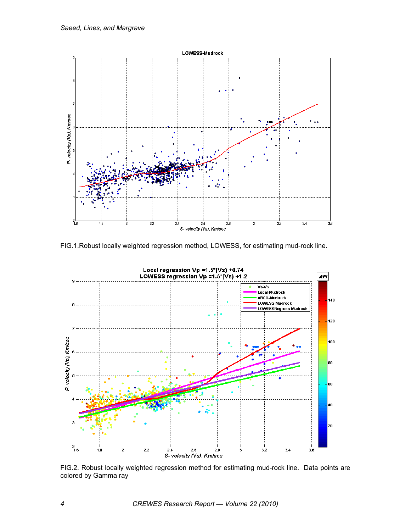

FIG.1.Robust locally weighted regression method, LOWESS, for estimating mud-rock line.



FIG.2. Robust locally weighted regression method for estimating mud-rock line. Data points are colored by Gamma ray